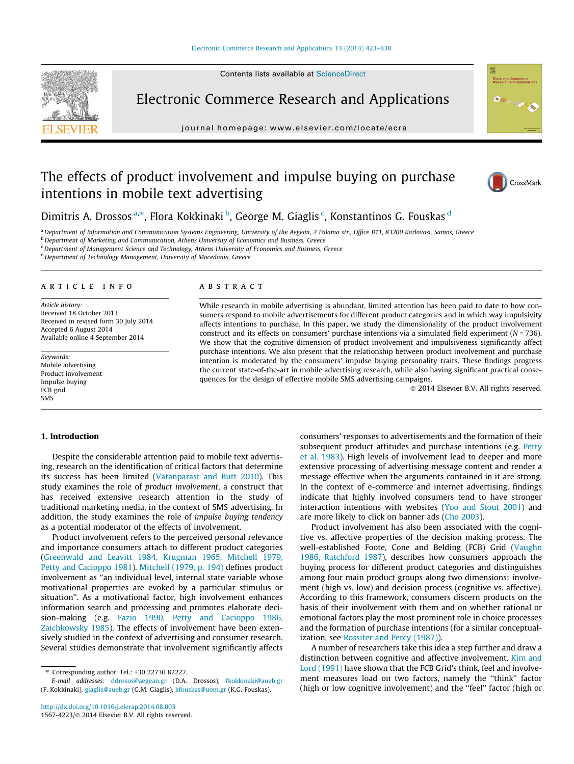Contents lists available at [ScienceDirect](http://www.sciencedirect.com/science/journal/15674223)



Electronic Commerce Research and Applications

journal homepage: [www.elsevier.com/locate/ecra](http://www.elsevier.com/locate/ecra)

# The effects of product involvement and impulse buying on purchase intentions in mobile text advertising





Dimitris A. Drossos <sup>a,</sup>\*, Flora Kokkinaki <sup>b</sup>, George M. Giaglis <sup>c</sup>, Konstantinos G. Fouskas <sup>d</sup>

a Department of Information and Communication Systems Engineering, University of the Aegean, 2 Palama str., Office B11, 83200 Karlovasi, Samos, Greece

**b** Department of Marketing and Communication, Athens University of Economics and Business, Greece

<sup>c</sup> Department of Management Science and Technology, Athens University of Economics and Business, Greece

<sup>d</sup> Department of Technology Management, University of Macedonia, Greece

# article info

Article history: Received 18 October 2013 Received in revised form 30 July 2014 Accepted 6 August 2014 Available online 4 September 2014

Keywords: Mobile advertising Product involvement Impulse buying FCB grid SMS

## **ABSTRACT**

While research in mobile advertising is abundant, limited attention has been paid to date to how consumers respond to mobile advertisements for different product categories and in which way impulsivity affects intentions to purchase. In this paper, we study the dimensionality of the product involvement construct and its effects on consumers' purchase intentions via a simulated field experiment ( $N = 736$ ). We show that the cognitive dimension of product involvement and impulsiveness significantly affect purchase intentions. We also present that the relationship between product involvement and purchase intention is moderated by the consumers' impulse buying personality traits. These findings progress the current state-of-the-art in mobile advertising research, while also having significant practical consequences for the design of effective mobile SMS advertising campaigns.

- 2014 Elsevier B.V. All rights reserved.

# 1. Introduction

Despite the considerable attention paid to mobile text advertising, research on the identification of critical factors that determine its success has been limited ([Vatanparast and Butt 2010\)](#page-7-0). This study examines the role of product involvement, a construct that has received extensive research attention in the study of traditional marketing media, in the context of SMS advertising. In addition, the study examines the role of impulse buying tendency as a potential moderator of the effects of involvement.

Product involvement refers to the perceived personal relevance and importance consumers attach to different product categories ([Greenwald and Leavitt 1984, Krugman 1965, Mitchell 1979,](#page-7-0) [Petty and Cacioppo 1981](#page-7-0)). [Mitchell \(1979, p. 194\)](#page-7-0) defines product involvement as ''an individual level, internal state variable whose motivational properties are evoked by a particular stimulus or situation''. As a motivational factor, high involvement enhances information search and processing and promotes elaborate decision-making (e.g. [Fazio 1990, Petty and Cacioppo 1986,](#page-7-0) [Zaichkowsky 1985\)](#page-7-0). The effects of involvement have been extensively studied in the context of advertising and consumer research. Several studies demonstrate that involvement significantly affects

E-mail addresses: [ddrosos@aegean.gr](mailto:ddrosos@aegean.gr) (D.A. Drossos), [fkokkinaki@aueb.gr](mailto:fkokkinaki@aueb.gr            ) (F. Kokkinaki), [giaglis@aueb.gr](mailto:giaglis@aueb.gr) (G.M. Giaglis), [kfouskas@uom.gr](mailto:kfouskas@uom.gr) (K.G. Fouskas).

consumers' responses to advertisements and the formation of their subsequent product attitudes and purchase intentions (e.g. [Petty](#page-7-0) [et al. 1983\)](#page-7-0). High levels of involvement lead to deeper and more extensive processing of advertising message content and render a message effective when the arguments contained in it are strong. In the context of e-commerce and internet advertising, findings indicate that highly involved consumers tend to have stronger interaction intentions with websites ([Yoo and Stout 2001](#page-7-0)) and are more likely to click on banner ads ([Cho 2003\)](#page-7-0).

Product involvement has also been associated with the cognitive vs. affective properties of the decision making process. The well-established Foote, Cone and Belding (FCB) Grid ([Vaughn](#page-7-0) [1986, Ratchford 1987\)](#page-7-0), describes how consumers approach the buying process for different product categories and distinguishes among four main product groups along two dimensions: involvement (high vs. low) and decision process (cognitive vs. affective). According to this framework, consumers discern products on the basis of their involvement with them and on whether rational or emotional factors play the most prominent role in choice processes and the formation of purchase intentions (for a similar conceptualization, see [Rossiter and Percy \(1987\)](#page-7-0)).

A number of researchers take this idea a step further and draw a distinction between cognitive and affective involvement. [Kim and](#page-7-0) [Lord \(1991\)](#page-7-0) have shown that the FCB Grid's think, feel and involvement measures load on two factors, namely the ''think'' factor (high or low cognitive involvement) and the ''feel'' factor (high or

Corresponding author. Tel.: +30 22730 82227.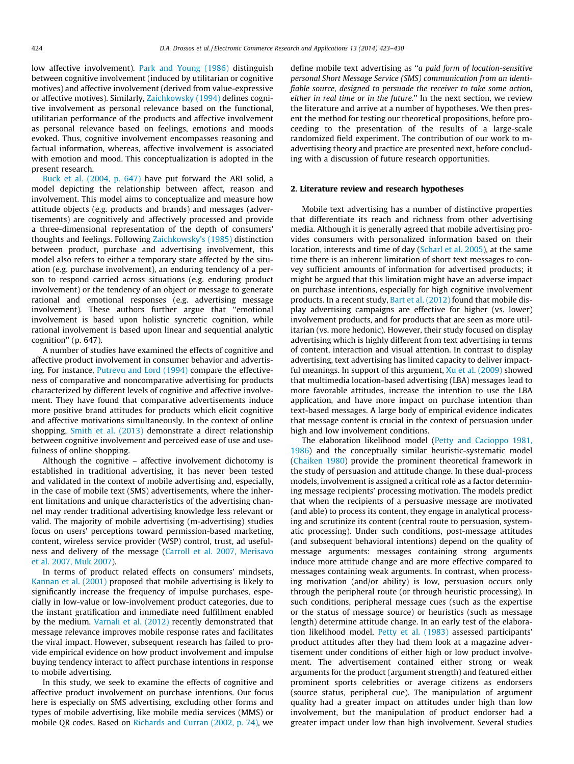low affective involvement). [Park and Young \(1986\)](#page-7-0) distinguish between cognitive involvement (induced by utilitarian or cognitive motives) and affective involvement (derived from value-expressive or affective motives). Similarly, [Zaichkowsky \(1994\)](#page-7-0) defines cognitive involvement as personal relevance based on the functional, utilitarian performance of the products and affective involvement as personal relevance based on feelings, emotions and moods evoked. Thus, cognitive involvement encompasses reasoning and factual information, whereas, affective involvement is associated with emotion and mood. This conceptualization is adopted in the present research.

[Buck et al. \(2004, p. 647\)](#page-7-0) have put forward the ARI solid, a model depicting the relationship between affect, reason and involvement. This model aims to conceptualize and measure how attitude objects (e.g. products and brands) and messages (advertisements) are cognitively and affectively processed and provide a three-dimensional representation of the depth of consumers' thoughts and feelings. Following [Zaichkowsky's \(1985\)](#page-7-0) distinction between product, purchase and advertising involvement, this model also refers to either a temporary state affected by the situation (e.g. purchase involvement), an enduring tendency of a person to respond carried across situations (e.g. enduring product involvement) or the tendency of an object or message to generate rational and emotional responses (e.g. advertising message involvement). These authors further argue that ''emotional involvement is based upon holistic syncretic cognition, while rational involvement is based upon linear and sequential analytic cognition'' (p. 647).

A number of studies have examined the effects of cognitive and affective product involvement in consumer behavior and advertising. For instance, [Putrevu and Lord \(1994\)](#page-7-0) compare the effectiveness of comparative and noncomparative advertising for products characterized by different levels of cognitive and affective involvement. They have found that comparative advertisements induce more positive brand attitudes for products which elicit cognitive and affective motivations simultaneously. In the context of online shopping, [Smith et al. \(2013\)](#page-7-0) demonstrate a direct relationship between cognitive involvement and perceived ease of use and usefulness of online shopping.

Although the cognitive – affective involvement dichotomy is established in traditional advertising, it has never been tested and validated in the context of mobile advertising and, especially, in the case of mobile text (SMS) advertisements, where the inherent limitations and unique characteristics of the advertising channel may render traditional advertising knowledge less relevant or valid. The majority of mobile advertising (m-advertising) studies focus on users' perceptions toward permission-based marketing, content, wireless service provider (WSP) control, trust, ad usefulness and delivery of the message ([Carroll et al. 2007, Merisavo](#page-7-0) [et al. 2007, Muk 2007](#page-7-0)).

In terms of product related effects on consumers' mindsets, [Kannan et al. \(2001\)](#page-7-0) proposed that mobile advertising is likely to significantly increase the frequency of impulse purchases, especially in low-value or low-involvement product categories, due to the instant gratification and immediate need fulfillment enabled by the medium. [Varnali et al. \(2012\)](#page-7-0) recently demonstrated that message relevance improves mobile response rates and facilitates the viral impact. However, subsequent research has failed to provide empirical evidence on how product involvement and impulse buying tendency interact to affect purchase intentions in response to mobile advertising.

In this study, we seek to examine the effects of cognitive and affective product involvement on purchase intentions. Our focus here is especially on SMS advertising, excluding other forms and types of mobile advertising, like mobile media services (MMS) or mobile QR codes. Based on [Richards and Curran \(2002, p. 74\),](#page-7-0) we

define mobile text advertising as ''a paid form of location-sensitive personal Short Message Service (SMS) communication from an identifiable source, designed to persuade the receiver to take some action, either in real time or in the future." In the next section, we review the literature and arrive at a number of hypotheses. We then present the method for testing our theoretical propositions, before proceeding to the presentation of the results of a large-scale randomized field experiment. The contribution of our work to madvertising theory and practice are presented next, before concluding with a discussion of future research opportunities.

# 2. Literature review and research hypotheses

Mobile text advertising has a number of distinctive properties that differentiate its reach and richness from other advertising media. Although it is generally agreed that mobile advertising provides consumers with personalized information based on their location, interests and time of day [\(Scharl et al. 2005](#page-7-0)), at the same time there is an inherent limitation of short text messages to convey sufficient amounts of information for advertised products; it might be argued that this limitation might have an adverse impact on purchase intentions, especially for high cognitive involvement products. In a recent study, [Bart et al. \(2012\)](#page-7-0) found that mobile display advertising campaigns are effective for higher (vs. lower) involvement products, and for products that are seen as more utilitarian (vs. more hedonic). However, their study focused on display advertising which is highly different from text advertising in terms of content, interaction and visual attention. In contrast to display advertising, text advertising has limited capacity to deliver impact-ful meanings. In support of this argument, [Xu et al. \(2009\)](#page-7-0) showed that multimedia location-based advertising (LBA) messages lead to more favorable attitudes, increase the intention to use the LBA application, and have more impact on purchase intention than text-based messages. A large body of empirical evidence indicates that message content is crucial in the context of persuasion under high and low involvement conditions.

The elaboration likelihood model [\(Petty and Cacioppo 1981,](#page-7-0) [1986\)](#page-7-0) and the conceptually similar heuristic-systematic model ([Chaiken 1980\)](#page-7-0) provide the prominent theoretical framework in the study of persuasion and attitude change. In these dual-process models, involvement is assigned a critical role as a factor determining message recipients' processing motivation. The models predict that when the recipients of a persuasive message are motivated (and able) to process its content, they engage in analytical processing and scrutinize its content (central route to persuasion, systematic processing). Under such conditions, post-message attitudes (and subsequent behavioral intentions) depend on the quality of message arguments: messages containing strong arguments induce more attitude change and are more effective compared to messages containing weak arguments. In contrast, when processing motivation (and/or ability) is low, persuasion occurs only through the peripheral route (or through heuristic processing). In such conditions, peripheral message cues (such as the expertise or the status of message source) or heuristics (such as message length) determine attitude change. In an early test of the elaboration likelihood model, [Petty et al. \(1983\)](#page-7-0) assessed participants' product attitudes after they had them look at a magazine advertisement under conditions of either high or low product involvement. The advertisement contained either strong or weak arguments for the product (argument strength) and featured either prominent sports celebrities or average citizens as endorsers (source status, peripheral cue). The manipulation of argument quality had a greater impact on attitudes under high than low involvement, but the manipulation of product endorser had a greater impact under low than high involvement. Several studies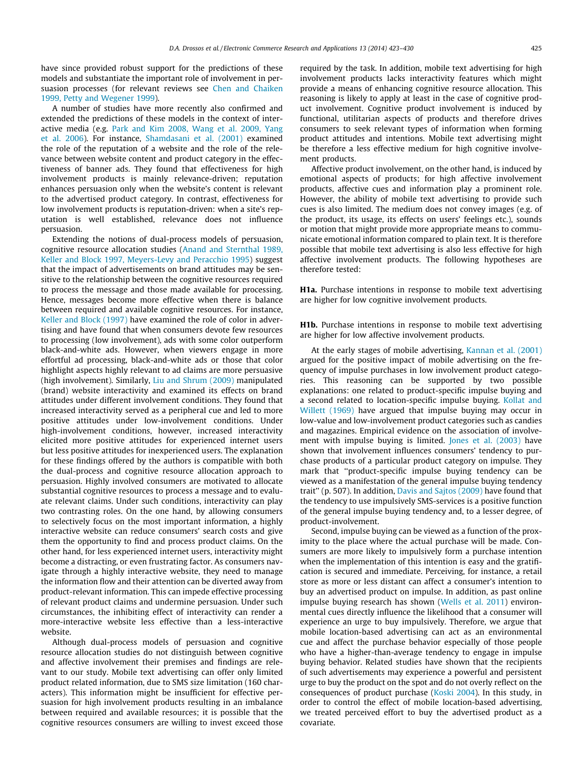<span id="page-2-0"></span>have since provided robust support for the predictions of these models and substantiate the important role of involvement in persuasion processes (for relevant reviews see [Chen and Chaiken](#page-7-0) [1999, Petty and Wegener 1999\)](#page-7-0).

A number of studies have more recently also confirmed and extended the predictions of these models in the context of interactive media (e.g. [Park and Kim 2008, Wang et al. 2009, Yang](#page-7-0) [et al. 2006\)](#page-7-0). For instance, [Shamdasani et al. \(2001\)](#page-7-0) examined the role of the reputation of a website and the role of the relevance between website content and product category in the effectiveness of banner ads. They found that effectiveness for high involvement products is mainly relevance-driven; reputation enhances persuasion only when the website's content is relevant to the advertised product category. In contrast, effectiveness for low involvement products is reputation-driven: when a site's reputation is well established, relevance does not influence persuasion.

Extending the notions of dual-process models of persuasion, cognitive resource allocation studies ([Anand and Sternthal 1989,](#page-7-0) [Keller and Block 1997, Meyers-Levy and Peracchio 1995](#page-7-0)) suggest that the impact of advertisements on brand attitudes may be sensitive to the relationship between the cognitive resources required to process the message and those made available for processing. Hence, messages become more effective when there is balance between required and available cognitive resources. For instance, [Keller and Block \(1997\)](#page-7-0) have examined the role of color in advertising and have found that when consumers devote few resources to processing (low involvement), ads with some color outperform black-and-white ads. However, when viewers engage in more effortful ad processing, black-and-white ads or those that color highlight aspects highly relevant to ad claims are more persuasive (high involvement). Similarly, [Liu and Shrum \(2009\)](#page-7-0) manipulated (brand) website interactivity and examined its effects on brand attitudes under different involvement conditions. They found that increased interactivity served as a peripheral cue and led to more positive attitudes under low-involvement conditions. Under high-involvement conditions, however, increased interactivity elicited more positive attitudes for experienced internet users but less positive attitudes for inexperienced users. The explanation for these findings offered by the authors is compatible with both the dual-process and cognitive resource allocation approach to persuasion. Highly involved consumers are motivated to allocate substantial cognitive resources to process a message and to evaluate relevant claims. Under such conditions, interactivity can play two contrasting roles. On the one hand, by allowing consumers to selectively focus on the most important information, a highly interactive website can reduce consumers' search costs and give them the opportunity to find and process product claims. On the other hand, for less experienced internet users, interactivity might become a distracting, or even frustrating factor. As consumers navigate through a highly interactive website, they need to manage the information flow and their attention can be diverted away from product-relevant information. This can impede effective processing of relevant product claims and undermine persuasion. Under such circumstances, the inhibiting effect of interactivity can render a more-interactive website less effective than a less-interactive website.

Although dual-process models of persuasion and cognitive resource allocation studies do not distinguish between cognitive and affective involvement their premises and findings are relevant to our study. Mobile text advertising can offer only limited product related information, due to SMS size limitation (160 characters). This information might be insufficient for effective persuasion for high involvement products resulting in an imbalance between required and available resources; it is possible that the cognitive resources consumers are willing to invest exceed those required by the task. In addition, mobile text advertising for high involvement products lacks interactivity features which might provide a means of enhancing cognitive resource allocation. This reasoning is likely to apply at least in the case of cognitive product involvement. Cognitive product involvement is induced by functional, utilitarian aspects of products and therefore drives consumers to seek relevant types of information when forming product attitudes and intentions. Mobile text advertising might be therefore a less effective medium for high cognitive involvement products.

Affective product involvement, on the other hand, is induced by emotional aspects of products; for high affective involvement products, affective cues and information play a prominent role. However, the ability of mobile text advertising to provide such cues is also limited. The medium does not convey images (e.g. of the product, its usage, its effects on users' feelings etc.), sounds or motion that might provide more appropriate means to communicate emotional information compared to plain text. It is therefore possible that mobile text advertising is also less effective for high affective involvement products. The following hypotheses are therefore tested:

H1a. Purchase intentions in response to mobile text advertising are higher for low cognitive involvement products.

H1b. Purchase intentions in response to mobile text advertising are higher for low affective involvement products.

At the early stages of mobile advertising, [Kannan et al. \(2001\)](#page-7-0) argued for the positive impact of mobile advertising on the frequency of impulse purchases in low involvement product categories. This reasoning can be supported by two possible explanations: one related to product-specific impulse buying and a second related to location-specific impulse buying. [Kollat and](#page-7-0) [Willett \(1969\)](#page-7-0) have argued that impulse buying may occur in low-value and low-involvement product categories such as candies and magazines. Empirical evidence on the association of involve-ment with impulse buying is limited. [Jones et al. \(2003\)](#page-7-0) have shown that involvement influences consumers' tendency to purchase products of a particular product category on impulse. They mark that ''product-specific impulse buying tendency can be viewed as a manifestation of the general impulse buying tendency trait'' (p. 507). In addition, [Davis and Sajtos \(2009\)](#page-7-0) have found that the tendency to use impulsively SMS-services is a positive function of the general impulse buying tendency and, to a lesser degree, of product-involvement.

Second, impulse buying can be viewed as a function of the proximity to the place where the actual purchase will be made. Consumers are more likely to impulsively form a purchase intention when the implementation of this intention is easy and the gratification is secured and immediate. Perceiving, for instance, a retail store as more or less distant can affect a consumer's intention to buy an advertised product on impulse. In addition, as past online impulse buying research has shown ([Wells et al. 2011\)](#page-7-0) environmental cues directly influence the likelihood that a consumer will experience an urge to buy impulsively. Therefore, we argue that mobile location-based advertising can act as an environmental cue and affect the purchase behavior especially of those people who have a higher-than-average tendency to engage in impulse buying behavior. Related studies have shown that the recipients of such advertisements may experience a powerful and persistent urge to buy the product on the spot and do not overly reflect on the consequences of product purchase [\(Koski 2004\)](#page-7-0). In this study, in order to control the effect of mobile location-based advertising, we treated perceived effort to buy the advertised product as a covariate.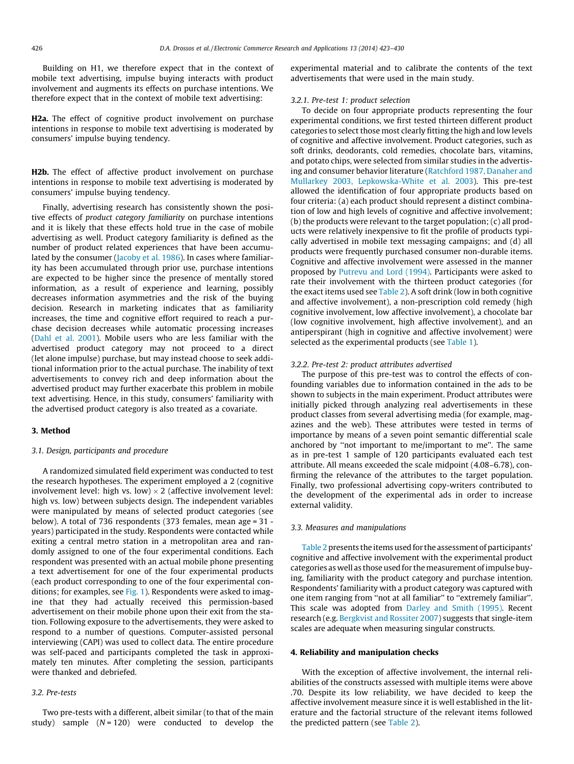<span id="page-3-0"></span>Building on H1, we therefore expect that in the context of mobile text advertising, impulse buying interacts with product involvement and augments its effects on purchase intentions. We therefore expect that in the context of mobile text advertising:

H2a. The effect of cognitive product involvement on purchase intentions in response to mobile text advertising is moderated by consumers' impulse buying tendency.

H2b. The effect of affective product involvement on purchase intentions in response to mobile text advertising is moderated by consumers' impulse buying tendency.

Finally, advertising research has consistently shown the positive effects of product category familiarity on purchase intentions and it is likely that these effects hold true in the case of mobile advertising as well. Product category familiarity is defined as the number of product related experiences that have been accumulated by the consumer [\(Jacoby et al. 1986](#page-7-0)). In cases where familiarity has been accumulated through prior use, purchase intentions are expected to be higher since the presence of mentally stored information, as a result of experience and learning, possibly decreases information asymmetries and the risk of the buying decision. Research in marketing indicates that as familiarity increases, the time and cognitive effort required to reach a purchase decision decreases while automatic processing increases ([Dahl et al. 2001\)](#page-7-0). Mobile users who are less familiar with the advertised product category may not proceed to a direct (let alone impulse) purchase, but may instead choose to seek additional information prior to the actual purchase. The inability of text advertisements to convey rich and deep information about the advertised product may further exacerbate this problem in mobile text advertising. Hence, in this study, consumers' familiarity with the advertised product category is also treated as a covariate.

# 3. Method

## 3.1. Design, participants and procedure

A randomized simulated field experiment was conducted to test the research hypotheses. The experiment employed a 2 (cognitive involvement level: high vs. low)  $\times$  2 (affective involvement level: high vs. low) between subjects design. The independent variables were manipulated by means of selected product categories (see below). A total of 736 respondents (373 females, mean age = 31 years) participated in the study. Respondents were contacted while exiting a central metro station in a metropolitan area and randomly assigned to one of the four experimental conditions. Each respondent was presented with an actual mobile phone presenting a text advertisement for one of the four experimental products (each product corresponding to one of the four experimental conditions; for examples, see [Fig. 1](#page-4-0)). Respondents were asked to imagine that they had actually received this permission-based advertisement on their mobile phone upon their exit from the station. Following exposure to the advertisements, they were asked to respond to a number of questions. Computer-assisted personal interviewing (CAPI) was used to collect data. The entire procedure was self-paced and participants completed the task in approximately ten minutes. After completing the session, participants were thanked and debriefed.

# 3.2. Pre-tests

Two pre-tests with a different, albeit similar (to that of the main study) sample  $(N = 120)$  were conducted to develop the experimental material and to calibrate the contents of the text advertisements that were used in the main study.

#### 3.2.1. Pre-test 1: product selection

To decide on four appropriate products representing the four experimental conditions, we first tested thirteen different product categories to select those most clearly fitting the high and low levels of cognitive and affective involvement. Product categories, such as soft drinks, deodorants, cold remedies, chocolate bars, vitamins, and potato chips, were selected from similar studies in the advertising and consumer behavior literature [\(Ratchford 1987, Danaher and](#page-7-0) [Mullarkey 2003, Lepkowska-White et al. 2003](#page-7-0)). This pre-test allowed the identification of four appropriate products based on four criteria: (a) each product should represent a distinct combination of low and high levels of cognitive and affective involvement; (b) the products were relevant to the target population; (c) all products were relatively inexpensive to fit the profile of products typically advertised in mobile text messaging campaigns; and (d) all products were frequently purchased consumer non-durable items. Cognitive and affective involvement were assessed in the manner proposed by [Putrevu and Lord \(1994\)](#page-7-0). Participants were asked to rate their involvement with the thirteen product categories (for the exact items used see [Table 2](#page-4-0)). A soft drink (low in both cognitive and affective involvement), a non-prescription cold remedy (high cognitive involvement, low affective involvement), a chocolate bar (low cognitive involvement, high affective involvement), and an antiperspirant (high in cognitive and affective involvement) were selected as the experimental products (see [Table 1](#page-4-0)).

#### 3.2.2. Pre-test 2: product attributes advertised

The purpose of this pre-test was to control the effects of confounding variables due to information contained in the ads to be shown to subjects in the main experiment. Product attributes were initially picked through analyzing real advertisements in these product classes from several advertising media (for example, magazines and the web). These attributes were tested in terms of importance by means of a seven point semantic differential scale anchored by ''not important to me/important to me''. The same as in pre-test 1 sample of 120 participants evaluated each test attribute. All means exceeded the scale midpoint (4.08–6.78), confirming the relevance of the attributes to the target population. Finally, two professional advertising copy-writers contributed to the development of the experimental ads in order to increase external validity.

#### 3.3. Measures and manipulations

[Table 2](#page-4-0) presents the items used for the assessment of participants' cognitive and affective involvement with the experimental product categories as well as those used for themeasurement of impulse buying, familiarity with the product category and purchase intention. Respondents' familiarity with a product category was captured with one item ranging from ''not at all familiar'' to ''extremely familiar''. This scale was adopted from [Darley and Smith \(1995\).](#page-7-0) Recent research (e.g. [Bergkvist and Rossiter 2007\)](#page-7-0) suggests that single-item scales are adequate when measuring singular constructs.

# 4. Reliability and manipulation checks

With the exception of affective involvement, the internal reliabilities of the constructs assessed with multiple items were above .70. Despite its low reliability, we have decided to keep the affective involvement measure since it is well established in the literature and the factorial structure of the relevant items followed the predicted pattern (see [Table 2](#page-4-0)).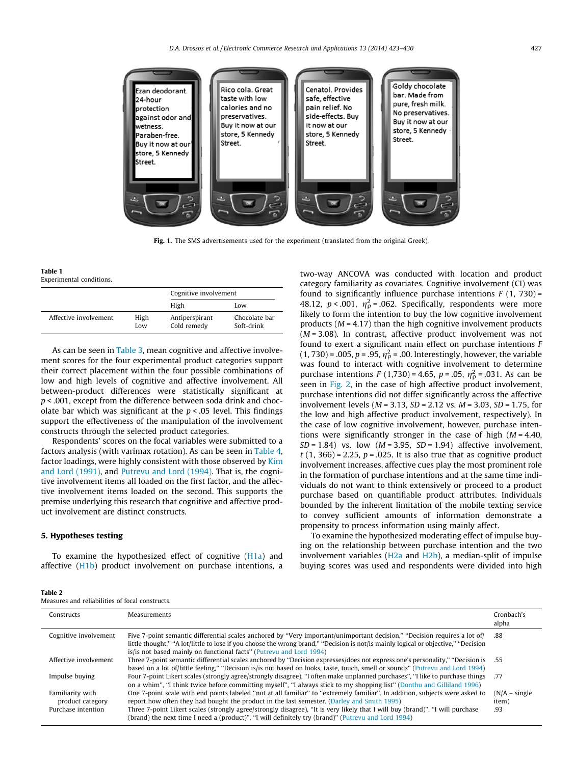<span id="page-4-0"></span>

Fig. 1. The SMS advertisements used for the experiment (translated from the original Greek).

#### Table 1 Experimental conditions.

|                       |             | Cognitive involvement         |                             |
|-----------------------|-------------|-------------------------------|-----------------------------|
|                       |             | High                          | Low                         |
| Affective involvement | High<br>Low | Antiperspirant<br>Cold remedy | Chocolate bar<br>Soft-drink |

As can be seen in [Table 3](#page-5-0), mean cognitive and affective involvement scores for the four experimental product categories support their correct placement within the four possible combinations of low and high levels of cognitive and affective involvement. All between-product differences were statistically significant at  $p < .001$ , except from the difference between soda drink and chocolate bar which was significant at the  $p < .05$  level. This findings support the effectiveness of the manipulation of the involvement constructs through the selected product categories.

Respondents' scores on the focal variables were submitted to a factors analysis (with varimax rotation). As can be seen in [Table 4,](#page-5-0) factor loadings, were highly consistent with those observed by [Kim](#page-7-0) [and Lord \(1991\)](#page-7-0), and [Putrevu and Lord \(1994\).](#page-7-0) That is, the cognitive involvement items all loaded on the first factor, and the affective involvement items loaded on the second. This supports the premise underlying this research that cognitive and affective product involvement are distinct constructs.

# 5. Hypotheses testing

To examine the hypothesized effect of cognitive  $(H1a)$  $(H1a)$  and affective [\(H1b\)](#page-2-0) product involvement on purchase intentions, a

| two-way ANCOVA was conducted with location and product                                  |
|-----------------------------------------------------------------------------------------|
| category familiarity as covariates. Cognitive involvement (CI) was                      |
| found to significantly influence purchase intentions $F(1, 730)$ =                      |
| 48.12, $p < .001$ , $\eta_{\rho}^2 = .062$ . Specifically, respondents were more        |
| likely to form the intention to buy the low cognitive involvement                       |
| products ( $M = 4.17$ ) than the high cognitive involvement products                    |
| $(M = 3.08)$ . In contrast, affective product involvement was not                       |
| found to exert a significant main effect on purchase intentions F                       |
| $(1, 730)$ = .005, p = .95, $\eta_{\rho}^2$ = .00. Interestingly, however, the variable |
| was found to interact with cognitive involvement to determine                           |
| purchase intentions F (1,730) = 4.65, p = .05, $\eta_0^2$ = .031. As can be             |
| seen in Fig. 2, in the case of high affective product involvement,                      |
| purchase intentions did not differ significantly across the affective                   |
| involvement levels ( $M = 3.13$ , $SD = 2.12$ vs. $M = 3.03$ , $SD = 1.75$ , for        |
| the low and high affective product involvement, respectively). In                       |
| the case of low cognitive involvement, however, purchase inten-                         |
| tions were significantly stronger in the case of high $(M = 4.40,$                      |
| $SD = 1.84$ ) vs. low $(M = 3.95, SD = 1.94)$ affective involvement,                    |
| t (1, 366) = 2.25, $p = 0.025$ . It is also true that as cognitive product              |
| involvement increases, affective cues play the most prominent role                      |
| in the formation of purchase intentions and at the same time indi-                      |
| viduals do not want to think extensively or proceed to a product                        |
| purchase based on quantifiable product attributes. Individuals                          |
| bounded by the inherent limitation of the mobile texting service                        |
| to convey sufficient amounts of information demonstrate a                               |
| propensity to process information using mainly affect.                                  |

To examine the hypothesized moderating effect of impulse buying on the relationship between purchase intention and the two involvement variables ([H2a](#page-3-0) and [H2b](#page-3-0)), a median-split of impulse buying scores was used and respondents were divided into high

#### Table 2

Measures and reliabilities of focal constructs.

| Constructs                                                 | <b>Measurements</b>                                                                                                                                                                                                                                                                                                                                                                                                                                               | Cronbach's<br>alpha              |
|------------------------------------------------------------|-------------------------------------------------------------------------------------------------------------------------------------------------------------------------------------------------------------------------------------------------------------------------------------------------------------------------------------------------------------------------------------------------------------------------------------------------------------------|----------------------------------|
| Cognitive involvement                                      | Five 7-point semantic differential scales anchored by "Very important/unimportant decision," "Decision requires a lot of/<br>little thought," "A lot/little to lose if you choose the wrong brand," "Decision is not/is mainly logical or objective," "Decision<br>is/is not based mainly on functional facts" (Putrevu and Lord 1994)                                                                                                                            | .88                              |
| Affective involvement                                      | 55. Three 7-point semantic differential scales anchored by "Decision expresses/does not express one's personality," "Decision is .55<br>based on a lot of/little feeling," "Decision is/is not based on looks, taste, touch, smell or sounds" (Putrevu and Lord 1994)                                                                                                                                                                                             |                                  |
| Impulse buying                                             | Four 7-point Likert scales (strongly agree/strongly disagree), "I often make unplanned purchases", "I like to purchase things<br>on a whim", "I think twice before committing myself", "I always stick to my shopping list" (Donthu and Gilliland 1996)                                                                                                                                                                                                           | .77                              |
| Familiarity with<br>product category<br>Purchase intention | One 7-point scale with end points labeled "not at all familiar" to "extremely familiar". In addition, subjects were asked to<br>report how often they had bought the product in the last semester. (Darley and Smith 1995)<br>Three 7-point Likert scales (strongly agree/strongly disagree), "It is very likely that I will buy (brand)", "I will purchase<br>(brand) the next time I need a (product)", "I will definitely try (brand)" (Putrevu and Lord 1994) | $(N/A - single)$<br>item)<br>.93 |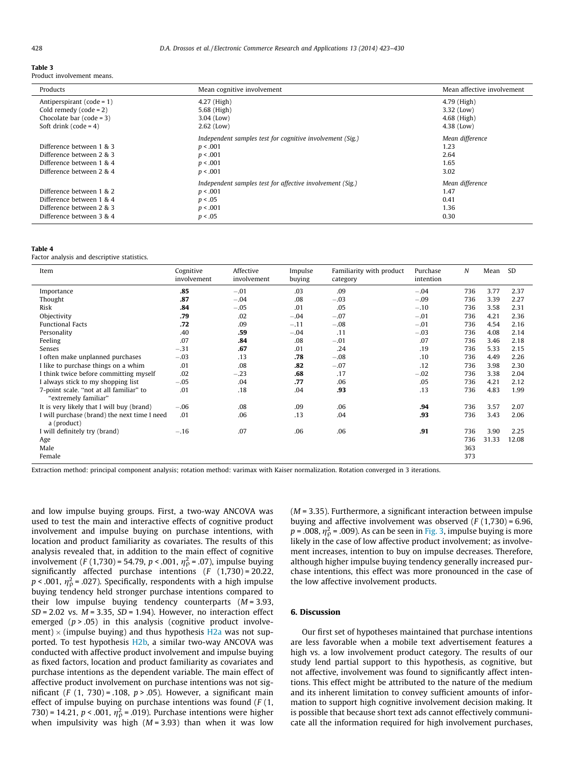#### <span id="page-5-0"></span>Table 3

Product involvement means.

| Products                     | Mean cognitive involvement                                | Mean affective involvement |  |
|------------------------------|-----------------------------------------------------------|----------------------------|--|
| Antiperspirant (code = $1$ ) | $4.27$ (High)                                             | 4.79 (High)                |  |
| Cold remedy $(code = 2)$     | 5.68 (High)                                               | $3.32$ (Low)               |  |
| Chocolate bar $(code = 3)$   | 3.04 (Low)                                                | $4.68$ (High)              |  |
| Soft drink (code = $4$ )     | $2.62$ (Low)                                              | 4.38 (Low)                 |  |
|                              | Independent samples test for cognitive involvement (Sig.) | Mean difference            |  |
| Difference between 1 & 3     | p < .001                                                  | 1.23                       |  |
| Difference between 2 & 3     | p < .001                                                  | 2.64                       |  |
| Difference between 1 & 4     | p < .001                                                  | 1.65                       |  |
| Difference between 2 & 4     | p < .001                                                  | 3.02                       |  |
|                              | Independent samples test for affective involvement (Sig.) | Mean difference            |  |
| Difference between 1 & 2     | p < .001                                                  | 1.47                       |  |
| Difference between 1 & 4     | p < .05                                                   | 0.41                       |  |
| Difference between 2 & 3     | p < .001                                                  | 1.36                       |  |
| Difference between 3 & 4     | p < .05                                                   | 0.30                       |  |

#### Table 4

Factor analysis and descriptive statistics.

| Item                                                            | Cognitive<br>involvement | Affective<br>involvement | Impulse<br>buying | Familiarity with product<br>category | Purchase<br>intention | N   | Mean  | <b>SD</b> |
|-----------------------------------------------------------------|--------------------------|--------------------------|-------------------|--------------------------------------|-----------------------|-----|-------|-----------|
| Importance                                                      | .85                      | $-.01$                   | .03               | .09                                  | $-.04$                | 736 | 3.77  | 2.37      |
| Thought                                                         | .87                      | $-.04$                   | .08               | $-.03$                               | $-.09$                | 736 | 3.39  | 2.27      |
| Risk                                                            | .84                      | $-.05$                   | .01               | .05                                  | $-.10$                | 736 | 3.58  | 2.31      |
| Objectivity                                                     | .79                      | .02                      | $-.04$            | $-.07$                               | $-.01$                | 736 | 4.21  | 2.36      |
| <b>Functional Facts</b>                                         | .72                      | .09                      | $-.11$            | $-.08$                               | $-.01$                | 736 | 4.54  | 2.16      |
| Personality                                                     | .40                      | .59                      | $-.04$            | .11                                  | $-.03$                | 736 | 4.08  | 2.14      |
| Feeling                                                         | .07                      | .84                      | .08               | $-.01$                               | .07                   | 736 | 3.46  | 2.18      |
| Senses                                                          | $-.31$                   | .67                      | .01               | .24                                  | .19                   | 736 | 5.33  | 2.15      |
| I often make unplanned purchases                                | $-.03$                   | .13                      | .78               | $-.08$                               | .10                   | 736 | 4.49  | 2.26      |
| I like to purchase things on a whim                             | .01                      | .08                      | .82               | $-.07$                               | .12                   | 736 | 3.98  | 2.30      |
| I think twice before committing myself                          | .02                      | $-.23$                   | .68               | .17                                  | $-.02$                | 736 | 3.38  | 2.04      |
| I always stick to my shopping list                              | $-.05$                   | .04                      | .77               | .06                                  | .05                   | 736 | 4.21  | 2.12      |
| 7-point scale, "not at all familiar" to<br>"extremely familiar" | .01                      | .18                      | .04               | .93                                  | .13                   | 736 | 4.83  | 1.99      |
| It is very likely that I will buy (brand)                       | $-.06$                   | .08                      | .09               | .06                                  | .94                   | 736 | 3.57  | 2.07      |
| I will purchase (brand) the next time I need<br>a (product)     | .01                      | .06                      | .13               | .04                                  | .93                   | 736 | 3.43  | 2.06      |
| I will definitely try (brand)                                   | $-.16$                   | .07                      | .06               | .06                                  | .91                   | 736 | 3.90  | 2.25      |
| Age                                                             |                          |                          |                   |                                      |                       | 736 | 31.33 | 12.08     |
| Male                                                            |                          |                          |                   |                                      |                       | 363 |       |           |
| Female                                                          |                          |                          |                   |                                      |                       | 373 |       |           |

Extraction method: principal component analysis; rotation method: varimax with Kaiser normalization. Rotation converged in 3 iterations.

and low impulse buying groups. First, a two-way ANCOVA was used to test the main and interactive effects of cognitive product involvement and impulse buying on purchase intentions, with location and product familiarity as covariates. The results of this analysis revealed that, in addition to the main effect of cognitive involvement (*F* (1,730) = 54.79, *p* < .001,  $\eta_{\rho}^2$  = .07), impulse buying significantly affected purchase intentions  $(F (1,730) = 20.22,$ p < .001,  $\eta_\text{\scriptsize{P}}^2$  = .027). Specifically, respondents with a high impulse buying tendency held stronger purchase intentions compared to their low impulse buying tendency counterparts  $(M = 3.93,$  $SD = 2.02$  vs.  $M = 3.35$ ,  $SD = 1.94$ ). However, no interaction effect emerged  $(p > .05)$  in this analysis (cognitive product involve-ment) × (impulse buying) and thus hypothesis [H2a](#page-3-0) was not supported. To test hypothesis [H2b,](#page-3-0) a similar two-way ANCOVA was conducted with affective product involvement and impulse buying as fixed factors, location and product familiarity as covariates and purchase intentions as the dependent variable. The main effect of affective product involvement on purchase intentions was not significant (F  $(1, 730) = .108$ ,  $p > .05$ ). However, a significant main effect of impulse buying on purchase intentions was found  $(F(1,$ 730) = 14.21,  $p < .001$ ,  $\eta_{\rho}^2$  = .019). Purchase intentions were higher when impulsivity was high  $(M = 3.93)$  than when it was low  $(M = 3.35)$ . Furthermore, a significant interaction between impulse buying and affective involvement was observed  $(F(1,730) = 6.96,$  $p = .008$ ,  $\eta_{\rho}^2 = .009$ ). As can be seen in [Fig. 3,](#page-6-0) impulse buying is more likely in the case of low affective product involvement; as involvement increases, intention to buy on impulse decreases. Therefore, although higher impulse buying tendency generally increased purchase intentions, this effect was more pronounced in the case of the low affective involvement products.

# 6. Discussion

Our first set of hypotheses maintained that purchase intentions are less favorable when a mobile text advertisement features a high vs. a low involvement product category. The results of our study lend partial support to this hypothesis, as cognitive, but not affective, involvement was found to significantly affect intentions. This effect might be attributed to the nature of the medium and its inherent limitation to convey sufficient amounts of information to support high cognitive involvement decision making. It is possible that because short text ads cannot effectively communicate all the information required for high involvement purchases,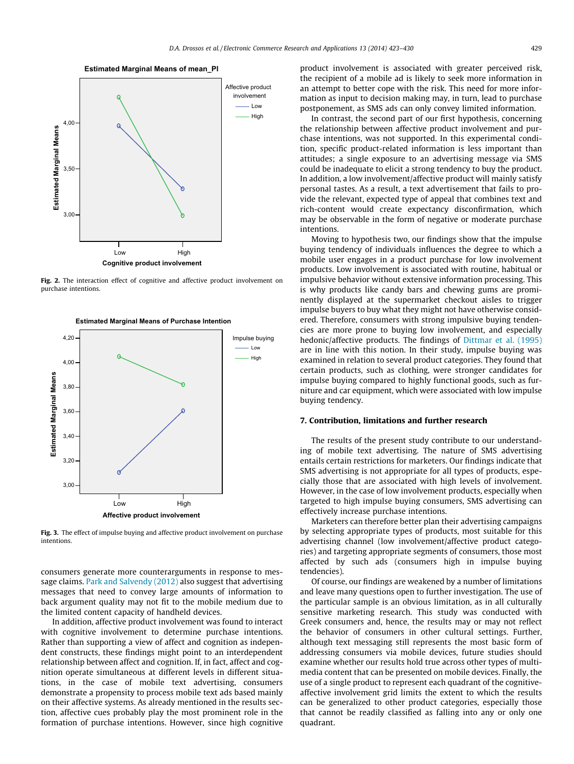<span id="page-6-0"></span>

Fig. 2. The interaction effect of cognitive and affective product involvement on purchase intentions.



**Estimated Marginal Means of Purchase Intention** 

Fig. 3. The effect of impulse buying and affective product involvement on purchase intentions.

consumers generate more counterarguments in response to message claims. [Park and Salvendy \(2012\)](#page-7-0) also suggest that advertising messages that need to convey large amounts of information to back argument quality may not fit to the mobile medium due to the limited content capacity of handheld devices.

In addition, affective product involvement was found to interact with cognitive involvement to determine purchase intentions. Rather than supporting a view of affect and cognition as independent constructs, these findings might point to an interdependent relationship between affect and cognition. If, in fact, affect and cognition operate simultaneous at different levels in different situations, in the case of mobile text advertising, consumers demonstrate a propensity to process mobile text ads based mainly on their affective systems. As already mentioned in the results section, affective cues probably play the most prominent role in the formation of purchase intentions. However, since high cognitive product involvement is associated with greater perceived risk, the recipient of a mobile ad is likely to seek more information in an attempt to better cope with the risk. This need for more information as input to decision making may, in turn, lead to purchase postponement, as SMS ads can only convey limited information.

In contrast, the second part of our first hypothesis, concerning the relationship between affective product involvement and purchase intentions, was not supported. In this experimental condition, specific product-related information is less important than attitudes; a single exposure to an advertising message via SMS could be inadequate to elicit a strong tendency to buy the product. In addition, a low involvement/affective product will mainly satisfy personal tastes. As a result, a text advertisement that fails to provide the relevant, expected type of appeal that combines text and rich-content would create expectancy disconfirmation, which may be observable in the form of negative or moderate purchase intentions.

Moving to hypothesis two, our findings show that the impulse buying tendency of individuals influences the degree to which a mobile user engages in a product purchase for low involvement products. Low involvement is associated with routine, habitual or impulsive behavior without extensive information processing. This is why products like candy bars and chewing gums are prominently displayed at the supermarket checkout aisles to trigger impulse buyers to buy what they might not have otherwise considered. Therefore, consumers with strong impulsive buying tendencies are more prone to buying low involvement, and especially hedonic/affective products. The findings of [Dittmar et al. \(1995\)](#page-7-0) are in line with this notion. In their study, impulse buying was examined in relation to several product categories. They found that certain products, such as clothing, were stronger candidates for impulse buying compared to highly functional goods, such as furniture and car equipment, which were associated with low impulse buying tendency.

# 7. Contribution, limitations and further research

The results of the present study contribute to our understanding of mobile text advertising. The nature of SMS advertising entails certain restrictions for marketers. Our findings indicate that SMS advertising is not appropriate for all types of products, especially those that are associated with high levels of involvement. However, in the case of low involvement products, especially when targeted to high impulse buying consumers, SMS advertising can effectively increase purchase intentions.

Marketers can therefore better plan their advertising campaigns by selecting appropriate types of products, most suitable for this advertising channel (low involvement/affective product categories) and targeting appropriate segments of consumers, those most affected by such ads (consumers high in impulse buying tendencies).

Of course, our findings are weakened by a number of limitations and leave many questions open to further investigation. The use of the particular sample is an obvious limitation, as in all culturally sensitive marketing research. This study was conducted with Greek consumers and, hence, the results may or may not reflect the behavior of consumers in other cultural settings. Further, although text messaging still represents the most basic form of addressing consumers via mobile devices, future studies should examine whether our results hold true across other types of multimedia content that can be presented on mobile devices. Finally, the use of a single product to represent each quadrant of the cognitiveaffective involvement grid limits the extent to which the results can be generalized to other product categories, especially those that cannot be readily classified as falling into any or only one quadrant.